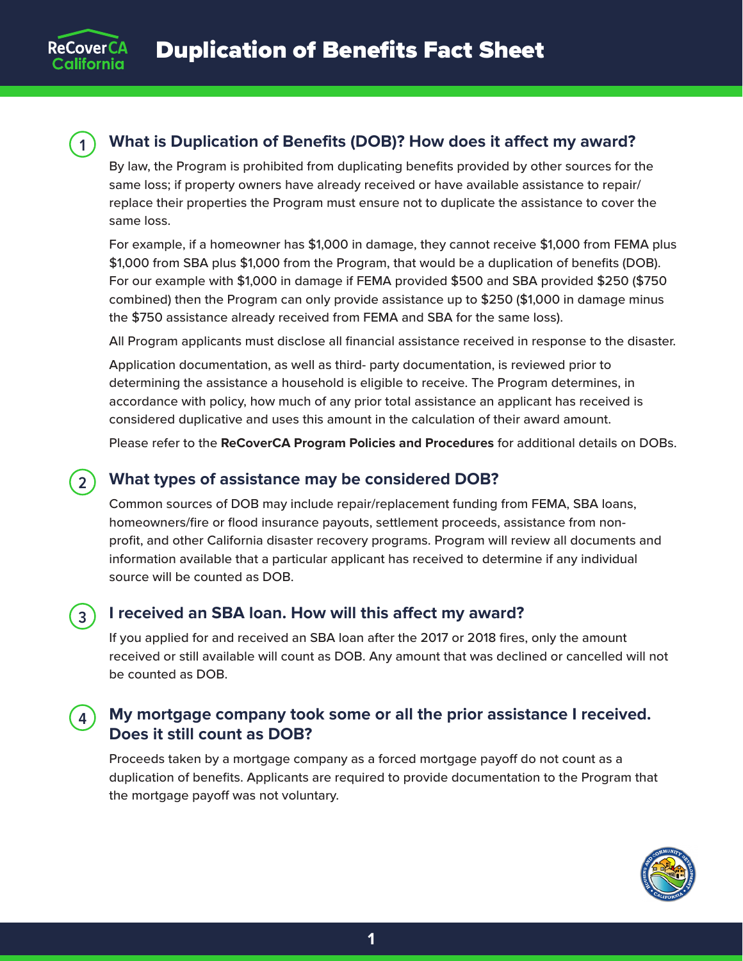

### **1 What is Duplication of Benefits (DOB)? How does it affect my award?**

By law, the Program is prohibited from duplicating benefits provided by other sources for the same loss; if property owners have already received or have available assistance to repair/ replace their properties the Program must ensure not to duplicate the assistance to cover the same loss.

For example, if a homeowner has \$1,000 in damage, they cannot receive \$1,000 from FEMA plus \$1,000 from SBA plus \$1,000 from the Program, that would be a duplication of benefits (DOB). For our example with \$1,000 in damage if FEMA provided \$500 and SBA provided \$250 (\$750 combined) then the Program can only provide assistance up to \$250 (\$1,000 in damage minus the \$750 assistance already received from FEMA and SBA for the same loss).

All Program applicants must disclose all financial assistance received in response to the disaster.

Application documentation, as well as third- party documentation, is reviewed prior to determining the assistance a household is eligible to receive. The Program determines, in accordance with policy, how much of any prior total assistance an applicant has received is considered duplicative and uses this amount in the calculation of their award amount.

Please refer to the **[ReCoverCA Program Policies and Procedures](https://recover.hcd.ca.gov/sites/default/files/pdf/oor%20policies%20and%20procedures%20v1_final%20122020.pdf)** for additional details on DOBs.

#### **2 What types of assistance may be considered DOB?**

Common sources of DOB may include repair/replacement funding from FEMA, SBA loans, homeowners/fire or flood insurance payouts, settlement proceeds, assistance from nonprofit, and other California disaster recovery programs. Program will review all documents and information available that a particular applicant has received to determine if any individual source will be counted as DOB.

## **3 I received an SBA loan. How will this affect my award?**

If you applied for and received an SBA loan after the 2017 or 2018 fires, only the amount received or still available will count as DOB. Any amount that was declined or cancelled will not be counted as DOB.

# **4 My mortgage company took some or all the prior assistance I received. Does it still count as DOB?**

Proceeds taken by a mortgage company as a forced mortgage payoff do not count as a duplication of benefits. Applicants are required to provide documentation to the Program that the mortgage payoff was not voluntary.